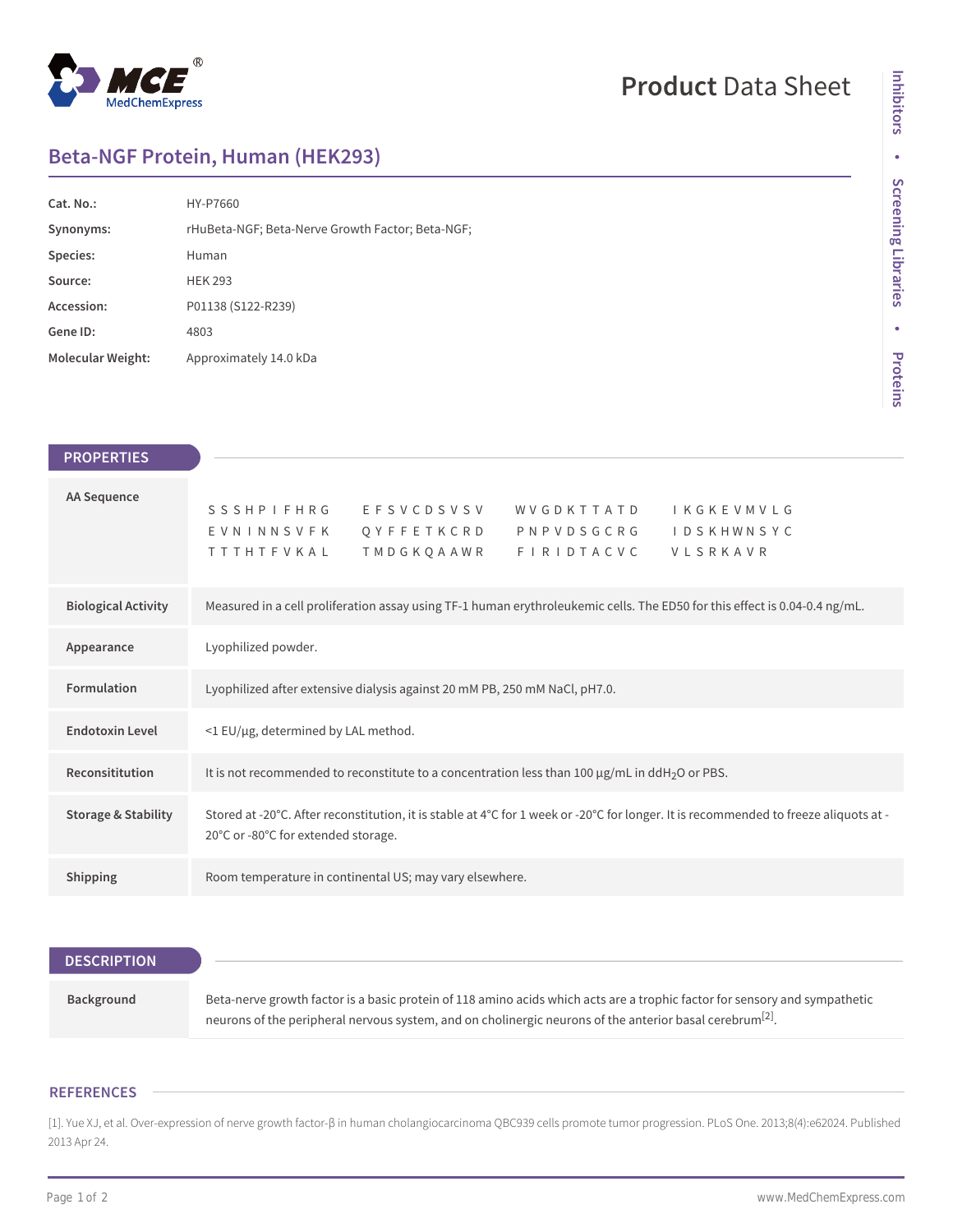

# **Product** Data Sheet

## **Beta-NGF Protein, Human (HEK293)**

| Cat. No.:                | HY-P7660                                         |
|--------------------------|--------------------------------------------------|
| Synonyms:                | rHuBeta-NGF; Beta-Nerve Growth Factor; Beta-NGF; |
| Species:                 | Human                                            |
| Source:                  | <b>HEK 293</b>                                   |
| Accession:               | P01138 (S122-R239)                               |
| Gene ID:                 | 4803                                             |
| <b>Molecular Weight:</b> | Approximately 14.0 kDa                           |

| <b>PROPERTIES</b>          |                                                                                                                            |                                          |                                                            |                               |  |
|----------------------------|----------------------------------------------------------------------------------------------------------------------------|------------------------------------------|------------------------------------------------------------|-------------------------------|--|
| AA Sequence                | SSSHPIFHRG EFSVCDSVSV<br>EVNINNSVFK<br><b>TTTHTFVKAL</b>                                                                   | Q Y F F E T K C R D<br><b>TMDGKOAAWR</b> | WVGDKTTATD IKGKEVMVLG<br>P N P V D S G C R G<br>FIRIDTACVC | <b>IDSKHWNSYC</b><br>VLSRKAVR |  |
| <b>Biological Activity</b> | Measured in a cell proliferation assay using TF-1 human erythroleukemic cells. The ED50 for this effect is 0.04-0.4 ng/mL. |                                          |                                                            |                               |  |
| Appearance                 | Lyophilized powder.                                                                                                        |                                          |                                                            |                               |  |
| <b>Formulation</b>         | Lyophilized after extensive dialysis against 20 mM PB, 250 mM NaCl, pH7.0.                                                 |                                          |                                                            |                               |  |
| <b>Endotoxin Level</b>     | $\leq$ 1 EU/µg, determined by LAL method.                                                                                  |                                          |                                                            |                               |  |
| Reconsititution            | It is not recommended to reconstitute to a concentration less than 100 $\mu$ g/mL in ddH <sub>2</sub> O or PBS.            |                                          |                                                            |                               |  |

| <b>Storage &amp; Stability</b> | Stored at -20°C. After reconstitution, it is stable at 4°C for 1 week or -20°C for longer. It is recommended to freeze aliquots at -<br>20°C or -80°C for extended storage. |
|--------------------------------|-----------------------------------------------------------------------------------------------------------------------------------------------------------------------------|
|                                |                                                                                                                                                                             |

**Shipping** Room temperature in continental US; may vary elsewhere.

### **DESCRIPTION**

| Background | Beta-nerve growth factor is a basic protein of 118 amino acids which acts are a trophic factor for sensory and sympathetic |
|------------|----------------------------------------------------------------------------------------------------------------------------|
|            | neurons of the peripheral nervous system, and on cholinergic neurons of the anterior basal cerebrum <sup>[2]</sup> .       |

#### **REFERENCES**

[1]. Yue XJ, et al. Over-expression of nerve growth factor-β in human cholangiocarcinoma QBC939 cells promote tumor progression. PLoS One. 2013;8(4):e62024. Published 2013 Apr 24.